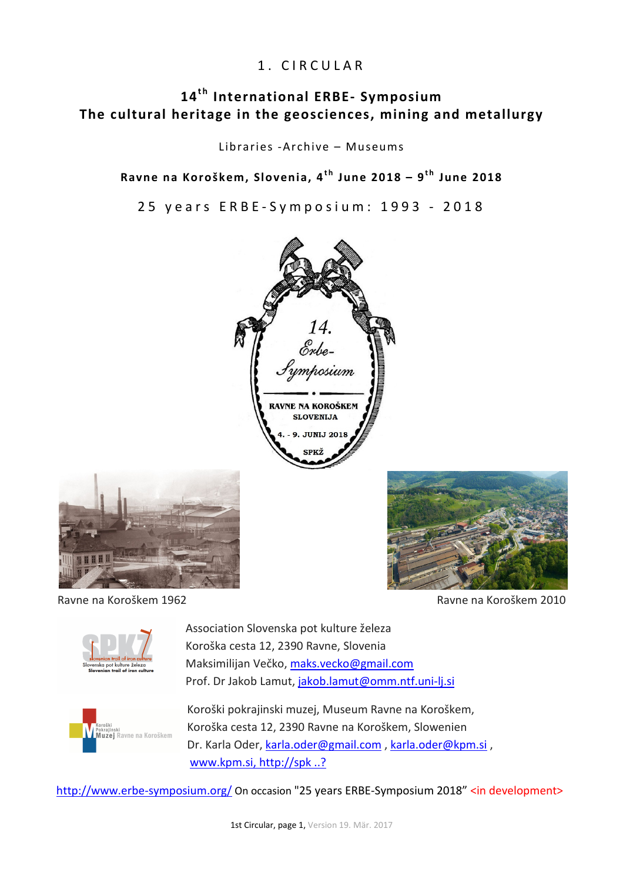# 1. CIRCULAR

# 14<sup>th</sup> International ERBE- Symposium **The cultural heritage in the geosciences, mining and metallurgy**

Libraries -Archive – Museums

Ravne na Koroškem, Slovenia, 4<sup>th</sup> June 2018 – 9<sup>th</sup> June 2018

25 years ERBE-Symposium: 1993 - 2018







Ravne na Koroškem 1962 **Ravne na Koroškem 2010** 



Association Slovenska pot kulture železa Koroška cesta 12, 2390 Ravne, Slovenia Maksimilijan Večko, maks.vecko@gmail.com Prof. Dr Jakob Lamut, jakob.lamut@omm.ntf.uni-lj.si



Koroški pokrajinski muzej, Museum Ravne na Koroškem, Koroška cesta 12, 2390 Ravne na Koroškem, Slowenien Dr. Karla Oder, karla.oder@gmail.com, karla.oder@kpm.si, www.kpm.si, http://spk ..?

http://www.erbe-symposium.org/ On occasion "25 years ERBE-Symposium 2018" <in development>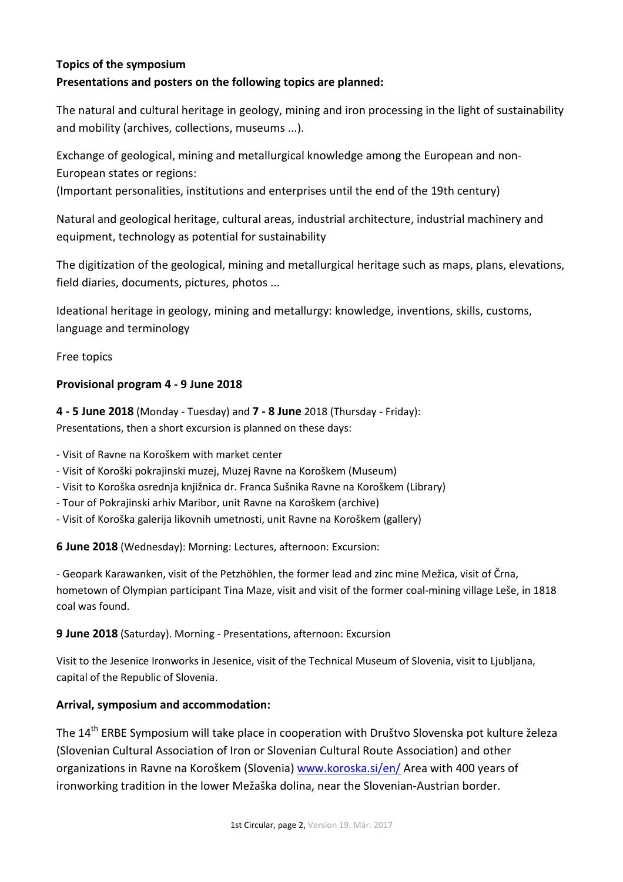# **Topics of the symposium**

#### **Presentations and posters on the following topics are planned:**

The natural and cultural heritage in geology, mining and iron processing in the light of sustainability and mobility (archives, collections, museums ...).

Exchange of geological, mining and metallurgical knowledge among the European and non-European states or regions:

(Important personalities, institutions and enterprises until the end of the 19th century)

Natural and geological heritage, cultural areas, industrial architecture, industrial machinery and equipment, technology as potential for sustainability

The digitization of the geological, mining and metallurgical heritage such as maps, plans, elevations, field diaries, documents, pictures, photos ...

Ideational heritage in geology, mining and metallurgy: knowledge, inventions, skills, customs, language and terminology

Free topics

#### **Provisional program 4 - 9 June 2018**

**4 - 5 June 2018** (Monday - Tuesday) and **7 - 8 June** 2018 (Thursday - Friday): Presentations, then a short excursion is planned on these days:

- Visit of Ravne na Koroškem with market center

- Visit of Koroški pokrajinski muzej, Muzej Ravne na Koroškem (Museum)

- Visit to Koroška osrednja knjižnica dr. Franca Sušnika Ravne na Koroškem (Library)
- Tour of Pokrajinski arhiv Maribor, unit Ravne na Koroškem (archive)
- Visit of Koroška galerija likovnih umetnosti, unit Ravne na Koroškem (gallery)

**6 June 2018** (Wednesday): Morning: Lectures, afternoon: Excursion:

- Geopark Karawanken, visit of the Petzhöhlen, the former lead and zinc mine Mežica, visit of Črna, hometown of Olympian participant Tina Maze, visit and visit of the former coal-mining village Leše, in 1818 coal was found.

**9 June 2018** (Saturday). Morning - Presentations, afternoon: Excursion

Visit to the Jesenice Ironworks in Jesenice, visit of the Technical Museum of Slovenia, visit to Ljubljana, capital of the Republic of Slovenia.

#### **Arrival, symposium and accommodation:**

The 14<sup>th</sup> ERBE Symposium will take place in cooperation with Društvo Slovenska pot kulture železa (Slovenian Cultural Association of Iron or Slovenian Cultural Route Association) and other organizations in Ravne na Koroškem (Slovenia) www.koroska.si/en/ Area with 400 years of ironworking tradition in the lower Mežaška dolina, near the Slovenian-Austrian border.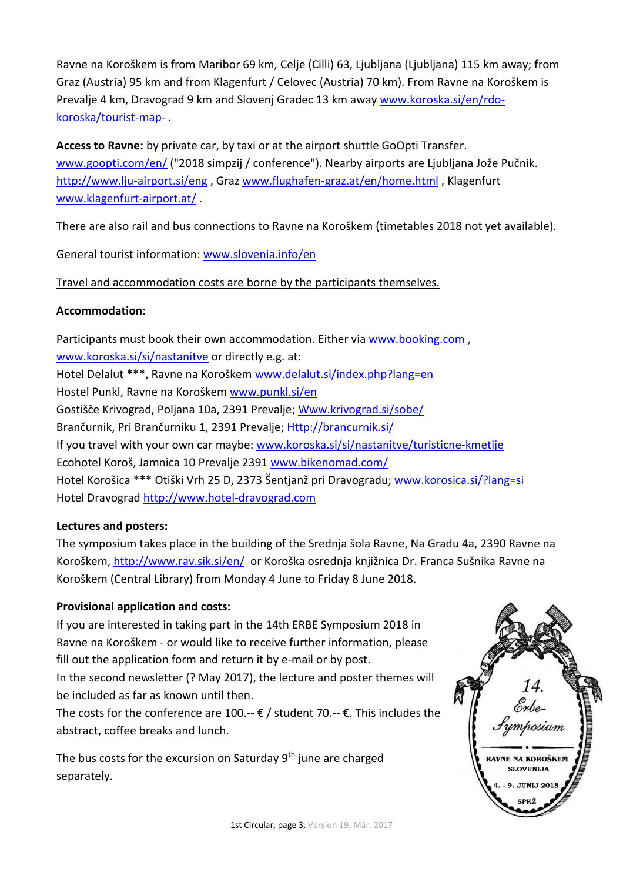Ravne na Koroškem is from Maribor 69 km, Celje (Cilli) 63, Ljubljana (Ljubljana) 115 km away; from Graz (Austria) 95 km and from Klagenfurt / Celovec (Austria) 70 km). From Ravne na Koroškem is Prevalje 4 km, Dravograd 9 km and Slovenj Gradec 13 km away www.koroska.si/en/rdokoroska/tourist-map- .

**Access to Ravne:** by private car, by taxi or at the airport shuttle GoOpti Transfer. www.goopti.com/en/ ("2018 simpzij / conference"). Nearby airports are Ljubljana Jože Pučnik. http://www.lju-airport.si/eng , Graz www.flughafen-graz.at/en/home.html , Klagenfurt www.klagenfurt-airport.at/ .

There are also rail and bus connections to Ravne na Koroškem (timetables 2018 not yet available).

General tourist information: www.slovenia.info/en

Travel and accommodation costs are borne by the participants themselves.

### **Accommodation:**

Participants must book their own accommodation. Either via www.booking.com , www.koroska.si/si/nastanitve or directly e.g. at: Hotel Delalut \*\*\*, Ravne na Koroškem www.delalut.si/index.php?lang=en Hostel Punkl, Ravne na Koroškem www.punkl.si/en Gostišče Krivograd, Poljana 10a, 2391 Prevalje; Www.krivograd.si/sobe/ Brančurnik, Pri Brančurniku 1, 2391 Prevalje; Http://brancurnik.si/ If you travel with your own car maybe: www.koroska.si/si/nastanitve/turisticne-kmetije Ecohotel Koroš, Jamnica 10 Prevalje 2391 www.bikenomad.com/ Hotel Korošica \*\*\* Otiški Vrh 25 D, 2373 Šentjanž pri Dravogradu; www.korosica.si/?lang=si Hotel Dravograd http://www.hotel-dravograd.com

#### **Lectures and posters:**

The symposium takes place in the building of the Srednja šola Ravne, Na Gradu 4a, 2390 Ravne na Koroškem, http://www.rav.sik.si/en/ or Koroška osrednja knjižnica Dr. Franca Sušnika Ravne na Koroškem (Central Library) from Monday 4 June to Friday 8 June 2018.

# **Provisional application and costs:**

If you are interested in taking part in the 14th ERBE Symposium 2018 in Ravne na Koroškem - or would like to receive further information, please fill out the application form and return it by e-mail or by post. In the second newsletter (? May 2017), the lecture and poster themes will be included as far as known until then. The costs for the conference are 100.--  $\epsilon$  / student 70.--  $\epsilon$ . This includes the

abstract, coffee breaks and lunch.

The bus costs for the excursion on Saturday  $9<sup>th</sup>$  june are charged separately.